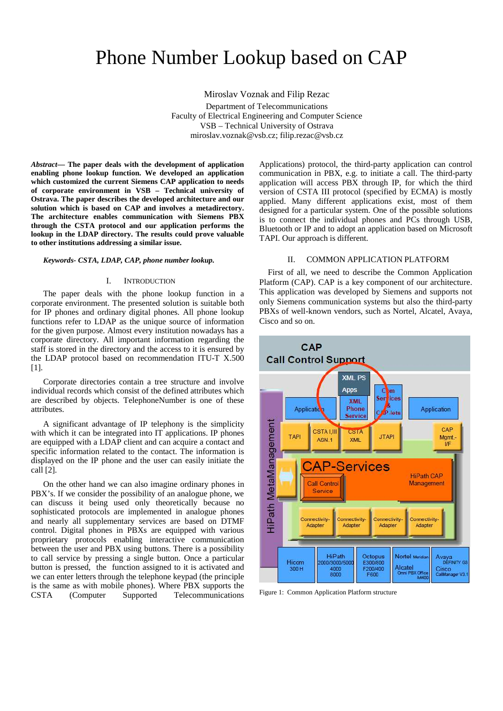# Phone Number Lookup based on CAP

Miroslav Voznak and Filip Rezac Department of Telecommunications Faculty of Electrical Engineering and Computer Science VSB – Technical University of Ostrava miroslav.voznak@vsb.cz; filip.rezac@vsb.cz

*Abstract***— The paper deals with the development of application enabling phone lookup function. We developed an application which customized the current Siemens CAP application to needs of corporate environment in VSB – Technical university of Ostrava. The paper describes the developed architecture and our solution which is based on CAP and involves a metadirectory. The architecture enables communication with Siemens PBX through the CSTA protocol and our application performs the lookup in the LDAP directory. The results could prove valuable to other institutions addressing a similar issue.** 

#### *Keywords- CSTA, LDAP, CAP, phone number lookup.*

#### I. INTRODUCTION

The paper deals with the phone lookup function in a corporate environment. The presented solution is suitable both for IP phones and ordinary digital phones. All phone lookup functions refer to LDAP as the unique source of information for the given purpose. Almost every institution nowadays has a corporate directory. All important information regarding the staff is stored in the directory and the access to it is ensured by the LDAP protocol based on recommendation ITU-T X.500 [1].

Corporate directories contain a tree structure and involve individual records which consist of the defined attributes which are described by objects. TelephoneNumber is one of these attributes.

A significant advantage of IP telephony is the simplicity with which it can be integrated into IT applications. IP phones are equipped with a LDAP client and can acquire a contact and specific information related to the contact. The information is displayed on the IP phone and the user can easily initiate the call [2].

On the other hand we can also imagine ordinary phones in PBX's. If we consider the possibility of an analogue phone, we can discuss it being used only theoretically because no sophisticated protocols are implemented in analogue phones and nearly all supplementary services are based on DTMF control. Digital phones in PBXs are equipped with various proprietary protocols enabling interactive communication between the user and PBX using buttons. There is a possibility to call service by pressing a single button. Once a particular button is pressed, the function assigned to it is activated and we can enter letters through the telephone keypad (the principle is the same as with mobile phones). Where PBX supports the CSTA (Computer Supported Telecommunications Applications) protocol, the third-party application can control communication in PBX, e.g. to initiate a call. The third-party application will access PBX through IP, for which the third version of CSTA III protocol (specified by ECMA) is mostly applied. Many different applications exist, most of them designed for a particular system. One of the possible solutions is to connect the individual phones and PCs through USB, Bluetooth or IP and to adopt an application based on Microsoft TAPI. Our approach is different.

## II. COMMON APPLICATION PLATFORM

First of all, we need to describe the Common Application Platform (CAP). CAP is a key component of our architecture. This application was developed by Siemens and supports not only Siemens communication systems but also the third-party PBXs of well-known vendors, such as Nortel, Alcatel, Avaya, Cisco and so on.



Figure 1: Common Application Platform structure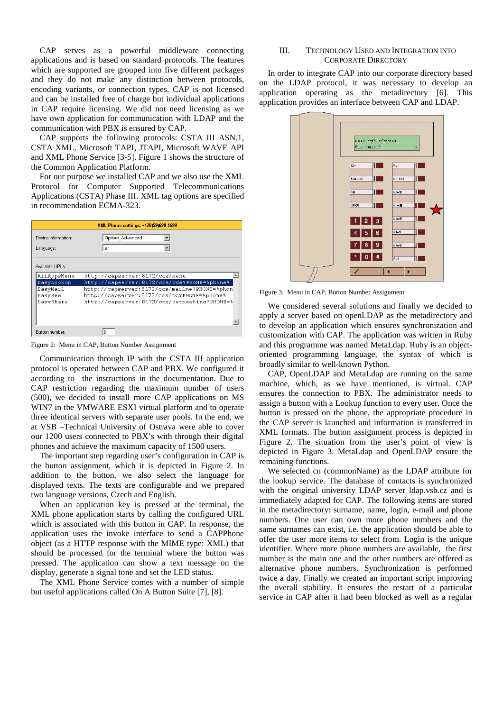CAP serves as a powerful middleware connecting applications and is based on standard protocols. The features which are supported are grouped into five different packages and they do not make any distinction between protocols, encoding variants, or connection types. CAP is not licensed and can be installed free of charge but individual applications in CAP require licensing. We did not need licensing as we have own application for communication with LDAP and the communication with PBX is ensured by CAP.

CAP supports the following protocols: CSTA III ASN.1, CSTA XML, Microsoft TAPI, JTAPI, Microsoft WAVE API and XML Phone Service [3-5]. Figure 1 shows the structure of the Common Application Platform.

For our purpose we installed CAP and we also use the XML Protocol for Computer Supported Telecommunications Applications (CSTA) Phase III. XML tag options are specified in recommendation ECMA-323.

| XML Phone settings: +420(59)699-1699 |                                              |
|--------------------------------------|----------------------------------------------|
| Device information:<br>Language:     | Optiset_Advanced<br>en                       |
| Available URLs:                      |                                              |
| AllAppsMenu                          | http://capserver:8172/ccs/menu               |
| EasyLookup                           | http://capserver:8172/ccs/ccs?PHONE=%phone%  |
| EasyMail                             | http://capserver:8172/ccs/mailme?PHONE=%phon |
| EasySee                              | http://capserver:8172/ccs/pc?PHONE=%phone%   |
| EasyShare                            | http://capserver:8172/ccs/netmeeting?PHONE=% |
|                                      |                                              |
|                                      |                                              |
| Button number:                       | 8                                            |

Figure 2: Menu in CAP, Button Number Assignment

Communication through IP with the CSTA III application protocol is operated between CAP and PBX. We configured it according to the instructions in the documentation. Due to CAP restriction regarding the maximum number of users (500), we decided to install more CAP applications on MS WIN7 in the VMWARE ESXI virtual platform and to operate three identical servers with separate user pools. In the end, we at VSB –Technical University of Ostrava were able to cover our 1200 users connected to PBX's with through their digital phones and achieve the maximum capacity of 1500 users.

The important step regarding user's configuration in CAP is the button assignment, which it is depicted in Figure 2. In addition to the button, we also select the language for displayed texts. The texts are configurable and we prepared two language versions, Czech and English.

When an application key is pressed at the terminal, the XML phone application starts by calling the configured URL which is associated with this button in CAP. In response, the application uses the invoke interface to send a CAPPhone object (as a HTTP response with the MIME type: XML) that should be processed for the terminal where the button was pressed. The application can show a text message on the display, generate a signal tone and set the LED status.

The XML Phone Service comes with a number of simple but useful applications called On A Button Suite [7], [8].

# III. TECHNOLOGY USED AND INTEGRATION INTO CORPORATE DIRECTORY

In order to integrate CAP into our corporate directory based on the LDAP protocol, it was necessary to develop an application operating as the metadirectory [6]. This application provides an interface between CAP and LDAP.



Figure 3: Menu in CAP, Button Number Assignment

We considered several solutions and finally we decided to apply a server based on openLDAP as the metadirectory and to develop an application which ensures synchronization and customization with CAP. The application was written in Ruby and this programme was named MetaLdap. Ruby is an objectoriented programming language, the syntax of which is broadly similar to well-known Python.

CAP, OpenLDAP and MetaLdap are running on the same machine, which, as we have mentioned, is virtual. CAP ensures the connection to PBX. The administrator needs to assign a button with a Lookup function to every user. Once the button is pressed on the phone, the appropriate procedure in the CAP server is launched and information is transferred in XML formats. The button assignment process is depicted in Figure 2. The situation from the user's point of view is depicted in Figure 3. MetaLdap and OpenLDAP ensure the remaining functions.

We selected cn (commonName) as the LDAP attribute for the lookup service. The database of contacts is synchronized with the original university LDAP server ldap.vsb.cz and is immediately adapted for CAP. The following items are stored in the metadirectory: surname, name, login, e-mail and phone numbers. One user can own more phone numbers and the same surnames can exist, i.e. the application should be able to offer the user more items to select from. Login is the unique identifier. Where more phone numbers are available, the first number is the main one and the other numbers are offered as alternative phone numbers. Synchronization is performed twice a day. Finally we created an important script improving the overall stability. It ensures the restart of a particular service in CAP after it had been blocked as well as a regular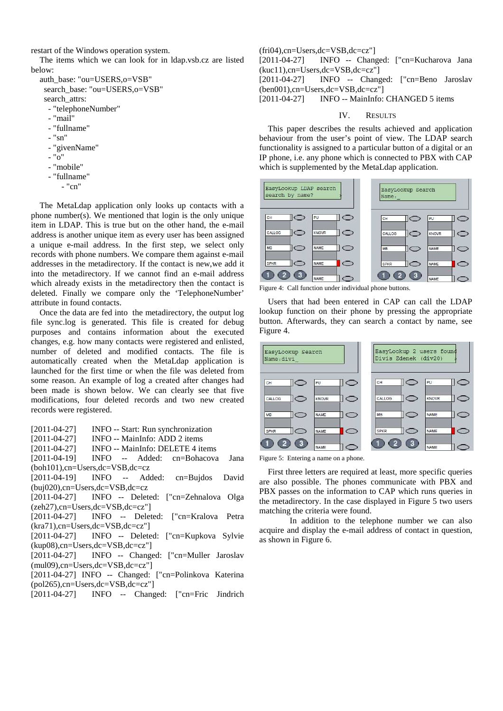restart of the Windows operation system.

The items which we can look for in ldap.vsb.cz are listed below:

auth\_base: "ou=USERS,o=VSB" search\_base: "ou=USERS,o=VSB" search attrs: - "telephoneNumber" - "mail" - "fullname" - "sn" - "givenName" - "o"

- 
- "mobile"
- "fullname"
	- "cn"

The MetaLdap application only looks up contacts with a phone number(s). We mentioned that login is the only unique item in LDAP. This is true but on the other hand, the e-mail address is another unique item as every user has been assigned a unique e-mail address. In the first step, we select only records with phone numbers. We compare them against e-mail addresses in the metadirectory. If the contact is new,we add it into the metadirectory. If we cannot find an e-mail address which already exists in the metadirectory then the contact is deleted. Finally we compare only the 'TelephoneNumber' attribute in found contacts.

Once the data are fed into the metadirectory, the output log file sync.log is generated. This file is created for debug purposes and contains information about the executed changes, e.g. how many contacts were registered and enlisted, number of deleted and modified contacts. The file is automatically created when the MetaLdap application is launched for the first time or when the file was deleted from some reason. An example of log a created after changes had been made is shown below. We can clearly see that five modifications, four deleted records and two new created records were registered.

[2011-04-27] **INFO** -- Start: Run synchronization

[2011-04-27] INFO -- MainInfo: ADD 2 items

[2011-04-27] INFO -- MainInfo: DELETE 4 items

[2011-04-19] INFO -- Added: cn=Bohacova Jana (boh101),cn=Users,dc=VSB,dc=cz

[2011-04-19] INFO -- Added: cn=Bujdos David (buj020),cn=Users,dc=VSB,dc=cz

[2011-04-27] INFO -- Deleted: ["cn=Zehnalova Olga (zeh27),cn=Users,dc=VSB,dc=cz"]

[2011-04-27] INFO -- Deleted: ["cn=Kralova Petra (kra71),cn=Users,dc=VSB,dc=cz"]

[2011-04-27] INFO -- Deleted: ["cn=Kupkova Sylvie (kup08),cn=Users,dc=VSB,dc=cz"]

[2011-04-27] INFO -- Changed: ["cn=Muller Jaroslav (mul09),cn=Users,dc=VSB,dc=cz"]

[2011-04-27] INFO -- Changed: ["cn=Polinkova Katerina (pol265),cn=Users,dc=VSB,dc=cz"]

[2011-04-27] INFO -- Changed: ["cn=Fric Jindrich"]

(fri04),cn=Users,dc=VSB,dc=cz"] [2011-04-27] INFO -- Changed: ["cn=Kucharova Jana (kuc11),cn=Users,dc=VSB,dc=cz"]

[2011-04-27] INFO -- Changed: ["cn=Beno Jaroslav (ben001),cn=Users,dc=VSB,dc=cz"]

[2011-04-27] INFO -- MainInfo: CHANGED 5 items

### IV. RESULTS

This paper describes the results achieved and application behaviour from the user's point of view. The LDAP search functionality is assigned to a particular button of a digital or an IP phone, i.e. any phone which is connected to PBX with CAP which is supplemented by the MetaLdap application.



Figure 4: Call function under individual phone buttons.

Users that had been entered in CAP can call the LDAP lookup function on their phone by pressing the appropriate button. Afterwards, they can search a contact by name, see Figure 4.



Figure 5: Entering a name on a phone.

First three letters are required at least, more specific queries are also possible. The phones communicate with PBX and PBX passes on the information to CAP which runs queries in the metadirectory. In the case displayed in Figure 5 two users matching the criteria were found.

 In addition to the telephone number we can also acquire and display the e-mail address of contact in question, as shown in Figure 6.